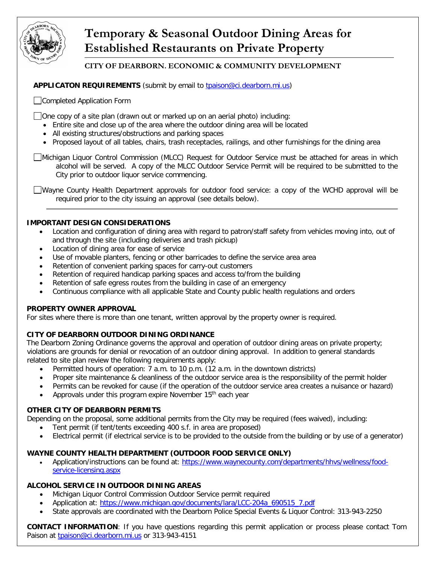

# **Temporary & Seasonal Outdoor Dining Areas for Established Restaurants on Private Property**

## **CITY OF DEARBORN. ECONOMIC & COMMUNITY DEVELOPMENT**

APPLICATON REQUIREMENTS (submit by email to tpaison@ci.dearborn.mi.us)

Completed Application Form

 $\Box$  One copy of a site plan (drawn out or marked up on an aerial photo) including:

- Entire site and close up of the area where the outdoor dining area will be located
- All existing structures/obstructions and parking spaces
- Proposed layout of all tables, chairs, trash receptacles, railings, and other furnishings for the dining area

Michigan Liquor Control Commission (MLCC) Request for Outdoor Service must be attached for areas in which alcohol will be served. A copy of the MLCC Outdoor Service Permit will be required to be submitted to the City prior to outdoor liquor service commencing.

Wayne County Health Department approvals for outdoor food service: a copy of the WCHD approval will be required prior to the city issuing an approval (see details below).

#### **IMPORTANT DESIGN CONSIDERATIONS**

- Location and configuration of dining area with regard to patron/staff safety from vehicles moving into, out of and through the site (including deliveries and trash pickup)
- Location of dining area for ease of service
- Use of movable planters, fencing or other barricades to define the service area area
- Retention of convenient parking spaces for carry-out customers
- Retention of required handicap parking spaces and access to/from the building
- Retention of safe egress routes from the building in case of an emergency
- Continuous compliance with all applicable State and County public health regulations and orders

### **PROPERTY OWNER APPROVAL**

For sites where there is more than one tenant, written approval by the property owner is required.

### **CITY OF DEARBORN OUTDOOR DINING ORDINANCE**

The Dearborn Zoning Ordinance governs the approval and operation of outdoor dining areas on private property; violations are grounds for denial or revocation of an outdoor dining approval. In addition to general standards related to site plan review the following requirements apply:

- Permitted hours of operation: 7 a.m. to 10 p.m. (12 a.m. in the downtown districts)
- Proper site maintenance & cleanliness of the outdoor service area is the responsibility of the permit holder
- Permits can be revoked for cause (if the operation of the outdoor service area creates a nuisance or hazard)
- Approvals under this program expire November 15<sup>th</sup> each year

### **OTHER CITY OF DEARBORN PERMITS**

Depending on the proposal, some additional permits from the City may be required (fees waived), including:

- Tent permit (if tent/tents exceeding 400 s.f. in area are proposed)
- Electrical permit (if electrical service is to be provided to the outside from the building or by use of a generator)

### **WAYNE COUNTY HEALTH DEPARTMENT (OUTDOOR FOOD SERVICE ONLY)**

• Application/instructions can be found at: [https://www.waynecounty.com/departments/hhvs/wellness/food](https://www.waynecounty.com/departments/hhvs/wellness/food-service-licensing.aspx)[service-licensing.aspx](https://www.waynecounty.com/departments/hhvs/wellness/food-service-licensing.aspx)

### **ALCOHOL SERVICE IN OUTDOOR DINING AREAS**

- Michigan Liquor Control Commission Outdoor Service permit required
- Application at: [https://www.michigan.gov/documents/lara/LCC-204a\\_690515\\_7.pdf](https://www.michigan.gov/documents/lara/LCC-204a_690515_7.pdf)
- State approvals are coordinated with the Dearborn Police Special Events & Liquor Control: 313-943-2250

**CONTACT INFORMATION**: If you have questions regarding this permit application or process please contact Tom Paison at [tpaison@ci.dearborn.mi.us](mailto:tpaison@ci.dearborn.mi.us) or 313-943-4151